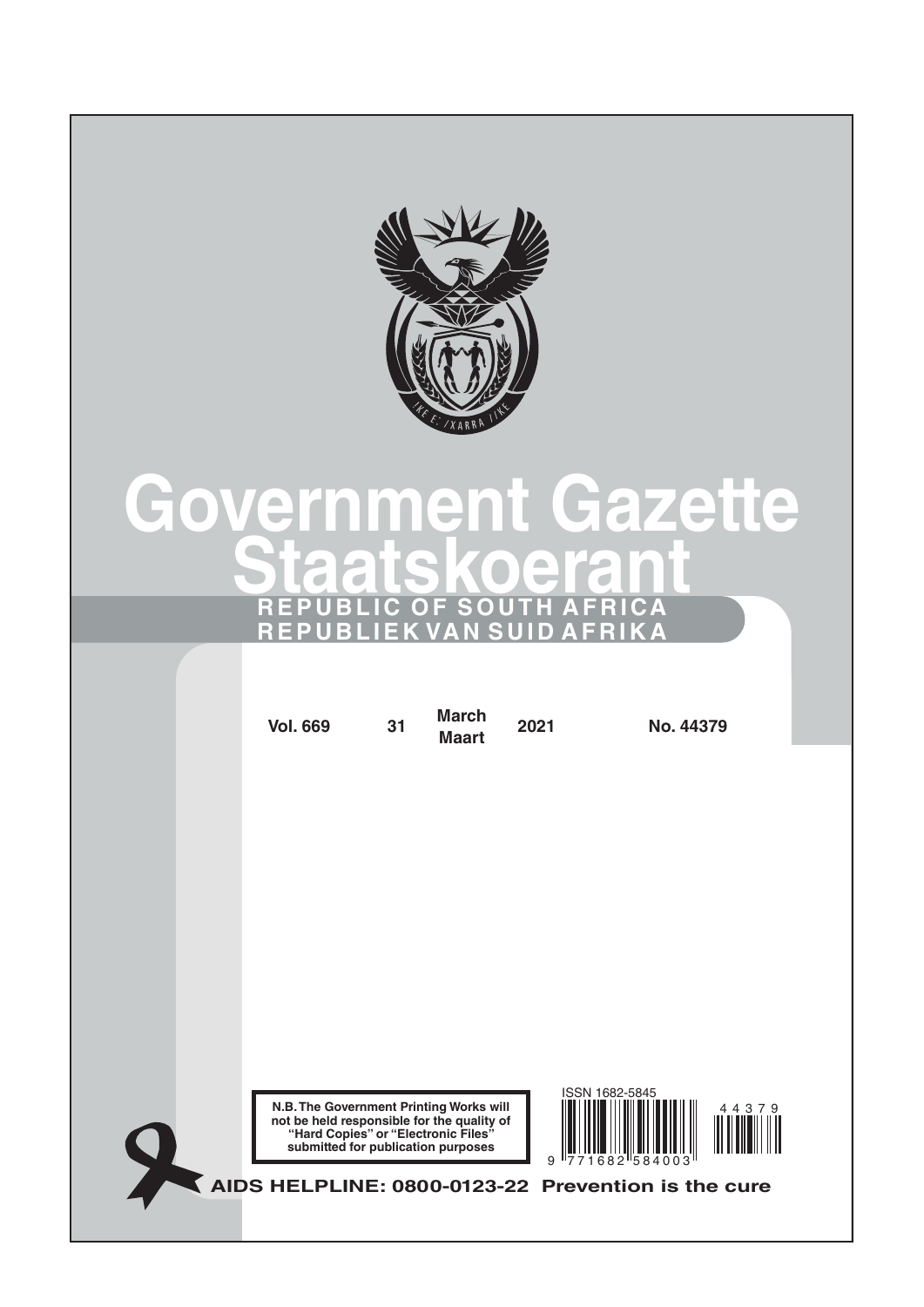

# **Government Gazette Staatskoerant REPUBLIC OF SOUTH AFRICA REPUBLIEK VAN SUID AFRIKA**

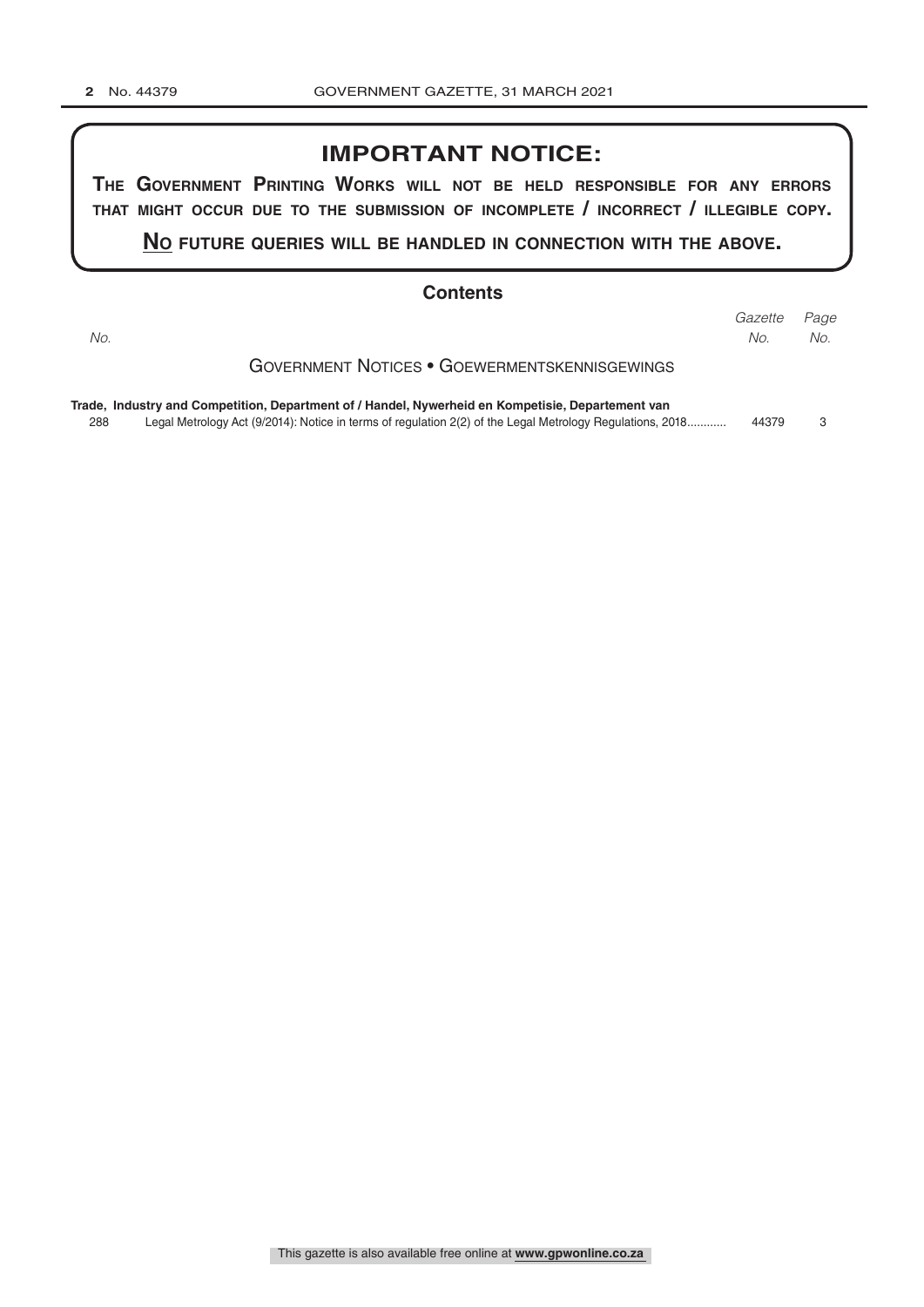### **IMPORTANT NOTICE:**

**The GovernmenT PrinTinG Works Will noT be held resPonsible for any errors ThaT miGhT occur due To The submission of incomPleTe / incorrecT / illeGible coPy.**

**no fuTure queries Will be handled in connecTion WiTh The above.**

#### **Contents**

*Page No. Gazette No. No.*

Government [Notices • Goewermentskennisgewings](#page-2-0)

**[Trade, Industry and Competition, Department of / Handel, Nywerheid en Kompetisie, Departement van](#page-2-0)** 288 [Legal Metrology Act \(9/2014\): Notice in terms of regulation 2\(2\) of the Legal Metrology Regulations, 2018............](#page-2-0) 44379 3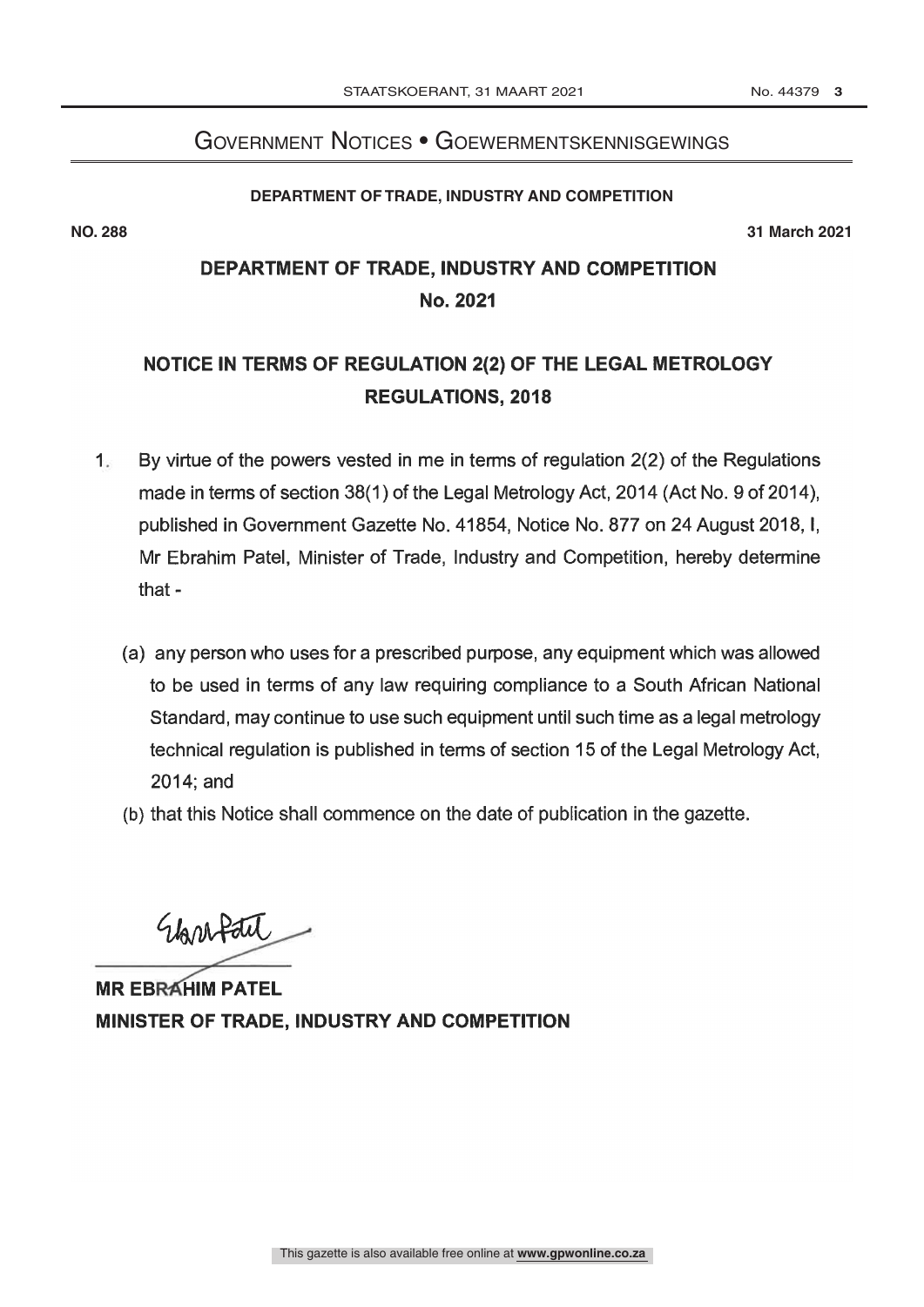## Government Notices • Goewermentskennisgewings

#### **DEPARTMENT OF TRADE, INDUSTRY AND COMPETITION**

<span id="page-2-0"></span>**NO. 288 31 March 2021**

## DEPARTMENT OF TRADE, INDUSTRY AND COMPETITION No. 2021

# NOTICE IN TERMS OF REGULATION 2(2) OF THE LEGAL METROLOGY REGULATIONS, 2018

- 1. By virtue of the powers vested in me in terms of regulation  $2(2)$  of the Regulations made in terms of section 38(1) of the Legal Metrology Act, 2014 (Act No. 9 of 2014), published in Government Gazette No. 41854, Notice No. 877 on 24 August 2018, I, Mr Ebrahim Patel, Minister of Trade, Industry and Competition, hereby determine that -
	- (a) any person who uses for a prescribed purpose, any equipment which was allowed to be used in terms of any law requiring compliance to a South African National Standard, may continue to use such equipment until such time as a legal metrology technical regulation is published in terms of section 15 of the Legal Metrology Act, 2014; and
	- (b) that this Notice shall commence on the date of publication in the gazette.

Glarafatt

MR EBRAHIM PATEL MINISTER OF TRADE, INDUSTRY AND COMPETITION